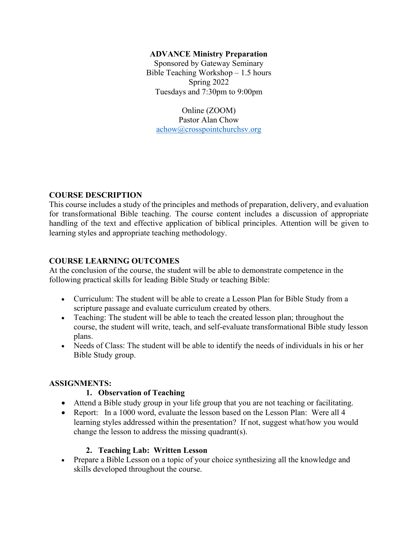### **ADVANCE Ministry Preparation**

Sponsored by Gateway Seminary Bible Teaching Workshop – 1.5 hours Spring 2022 Tuesdays and 7:30pm to 9:00pm

Online (ZOOM) Pastor Alan Chow [achow@crosspointchurchsv.org](mailto:achow@crosspointchurchsv.org)

### **COURSE DESCRIPTION**

This course includes a study of the principles and methods of preparation, delivery, and evaluation for transformational Bible teaching. The course content includes a discussion of appropriate handling of the text and effective application of biblical principles. Attention will be given to learning styles and appropriate teaching methodology.

### **COURSE LEARNING OUTCOMES**

At the conclusion of the course, the student will be able to demonstrate competence in the following practical skills for leading Bible Study or teaching Bible:

- Curriculum: The student will be able to create a Lesson Plan for Bible Study from a scripture passage and evaluate curriculum created by others.
- Teaching: The student will be able to teach the created lesson plan; throughout the course, the student will write, teach, and self-evaluate transformational Bible study lesson plans.
- Needs of Class: The student will be able to identify the needs of individuals in his or her Bible Study group.

# **ASSIGNMENTS:**

# **1. Observation of Teaching**

- Attend a Bible study group in your life group that you are not teaching or facilitating.
- Report: In a 1000 word, evaluate the lesson based on the Lesson Plan: Were all 4 learning styles addressed within the presentation? If not, suggest what/how you would change the lesson to address the missing quadrant(s).

# **2. Teaching Lab: Written Lesson**

• Prepare a Bible Lesson on a topic of your choice synthesizing all the knowledge and skills developed throughout the course.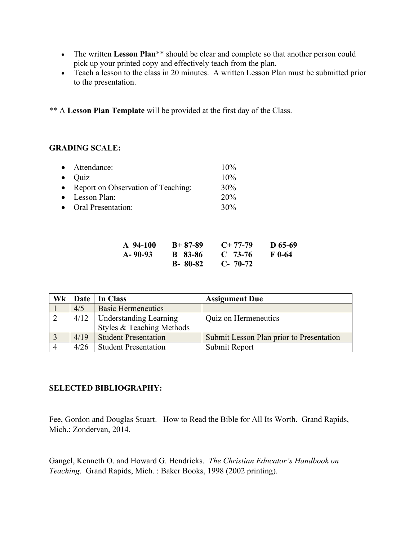- The written Lesson Plan<sup>\*\*</sup> should be clear and complete so that another person could pick up your printed copy and effectively teach from the plan.
- Teach a lesson to the class in 20 minutes. A written Lesson Plan must be submitted prior to the presentation.

\*\* A **Lesson Plan Template** will be provided at the first day of the Class.

### **GRADING SCALE:**

| • Attendance:                        | 10% |
|--------------------------------------|-----|
| $\bullet$ Ouiz                       | 10% |
| • Report on Observation of Teaching: | 30% |
| • Lesson Plan:                       | 20% |
| • Oral Presentation:                 | 30% |

| A 94-100 | $B+87-89$       | $C+77-79$     | D $65-69$ |
|----------|-----------------|---------------|-----------|
| A- 90-93 | <b>B</b> 83-86  | $C$ 73-76     | F 0-64    |
|          | <b>B</b> -80-82 | $C - 70 - 72$ |           |

| Wk             |      | Date   In Class               | <b>Assignment Due</b>                    |
|----------------|------|-------------------------------|------------------------------------------|
|                | 4/5  | <b>Basic Hermeneutics</b>     |                                          |
| $\sqrt{2}$     |      | $4/12$ Understanding Learning | Quiz on Hermeneutics                     |
|                |      | Styles & Teaching Methods     |                                          |
| $\overline{3}$ | 4/19 | <b>Student Presentation</b>   | Submit Lesson Plan prior to Presentation |
|                | 4/26 | <b>Student Presentation</b>   | Submit Report                            |

# **SELECTED BIBLIOGRAPHY:**

Fee, Gordon and Douglas Stuart. How to Read the Bible for All Its Worth. Grand Rapids, Mich.: Zondervan, 2014.

Gangel, Kenneth O. and Howard G. Hendricks. *The Christian Educator's Handbook on Teaching*. Grand Rapids, Mich. : Baker Books, 1998 (2002 printing).